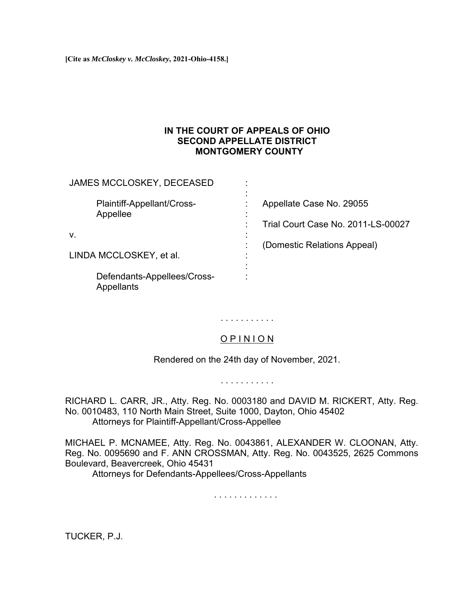**[Cite as** *McCloskey v. McCloskey***, 2021-Ohio-4158.]**

## **IN THE COURT OF APPEALS OF OHIO SECOND APPELLATE DISTRICT MONTGOMERY COUNTY**

JAMES MCCLOSKEY, DECEASED :

| Plaintiff-Appellant/Cross-<br>Appellee    | Appellate Case No. 29055<br>Trial Court Case No. 2011-LS-00027 |
|-------------------------------------------|----------------------------------------------------------------|
| v.                                        |                                                                |
| LINDA MCCLOSKEY, et al.                   | (Domestic Relations Appeal)                                    |
| Defendants-Appellees/Cross-<br>Appellants |                                                                |

. . . . . . . . . . .

# O P I N I O N

Rendered on the 24th day of November, 2021.

. . . . . . . . . . .

RICHARD L. CARR, JR., Atty. Reg. No. 0003180 and DAVID M. RICKERT, Atty. Reg. No. 0010483, 110 North Main Street, Suite 1000, Dayton, Ohio 45402 Attorneys for Plaintiff-Appellant/Cross-Appellee

MICHAEL P. MCNAMEE, Atty. Reg. No. 0043861, ALEXANDER W. CLOONAN, Atty. Reg. No. 0095690 and F. ANN CROSSMAN, Atty. Reg. No. 0043525, 2625 Commons Boulevard, Beavercreek, Ohio 45431

Attorneys for Defendants-Appellees/Cross-Appellants

. . . . . . . . . . . . .

TUCKER, P.J.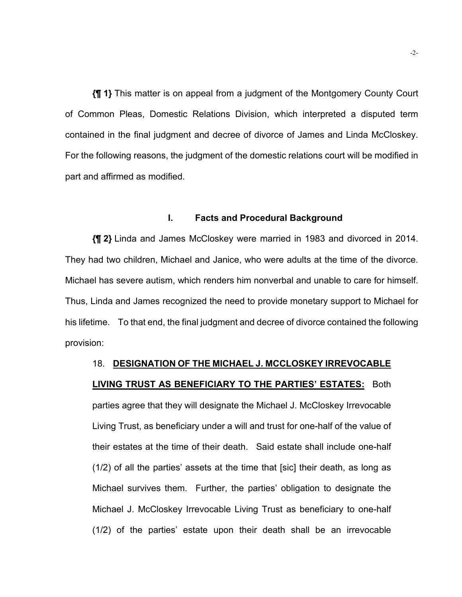**{¶ 1}** This matter is on appeal from a judgment of the Montgomery County Court of Common Pleas, Domestic Relations Division, which interpreted a disputed term contained in the final judgment and decree of divorce of James and Linda McCloskey. For the following reasons, the judgment of the domestic relations court will be modified in part and affirmed as modified.

### **I. Facts and Procedural Background**

**{¶ 2}** Linda and James McCloskey were married in 1983 and divorced in 2014. They had two children, Michael and Janice, who were adults at the time of the divorce. Michael has severe autism, which renders him nonverbal and unable to care for himself. Thus, Linda and James recognized the need to provide monetary support to Michael for his lifetime. To that end, the final judgment and decree of divorce contained the following provision:

# 18. **DESIGNATION OF THE MICHAEL J. MCCLOSKEY IRREVOCABLE LIVING TRUST AS BENEFICIARY TO THE PARTIES' ESTATES:** Both parties agree that they will designate the Michael J. McCloskey Irrevocable Living Trust, as beneficiary under a will and trust for one-half of the value of their estates at the time of their death. Said estate shall include one-half (1/2) of all the parties' assets at the time that [sic] their death, as long as Michael survives them. Further, the parties' obligation to designate the Michael J. McCloskey Irrevocable Living Trust as beneficiary to one-half (1/2) of the parties' estate upon their death shall be an irrevocable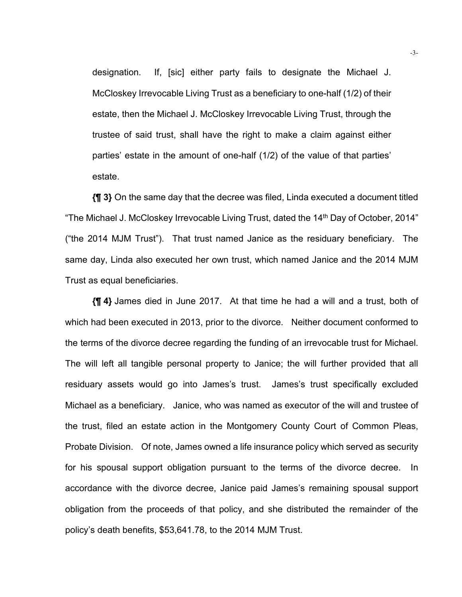designation. If, [sic] either party fails to designate the Michael J. McCloskey Irrevocable Living Trust as a beneficiary to one-half (1/2) of their estate, then the Michael J. McCloskey Irrevocable Living Trust, through the trustee of said trust, shall have the right to make a claim against either parties' estate in the amount of one-half (1/2) of the value of that parties' estate.

**{¶ 3}** On the same day that the decree was filed, Linda executed a document titled "The Michael J. McCloskey Irrevocable Living Trust, dated the 14<sup>th</sup> Day of October, 2014" ("the 2014 MJM Trust"). That trust named Janice as the residuary beneficiary. The same day, Linda also executed her own trust, which named Janice and the 2014 MJM Trust as equal beneficiaries.

**{¶ 4}** James died in June 2017. At that time he had a will and a trust, both of which had been executed in 2013, prior to the divorce. Neither document conformed to the terms of the divorce decree regarding the funding of an irrevocable trust for Michael. The will left all tangible personal property to Janice; the will further provided that all residuary assets would go into James's trust. James's trust specifically excluded Michael as a beneficiary. Janice, who was named as executor of the will and trustee of the trust, filed an estate action in the Montgomery County Court of Common Pleas, Probate Division. Of note, James owned a life insurance policy which served as security for his spousal support obligation pursuant to the terms of the divorce decree. In accordance with the divorce decree, Janice paid James's remaining spousal support obligation from the proceeds of that policy, and she distributed the remainder of the policy's death benefits, \$53,641.78, to the 2014 MJM Trust.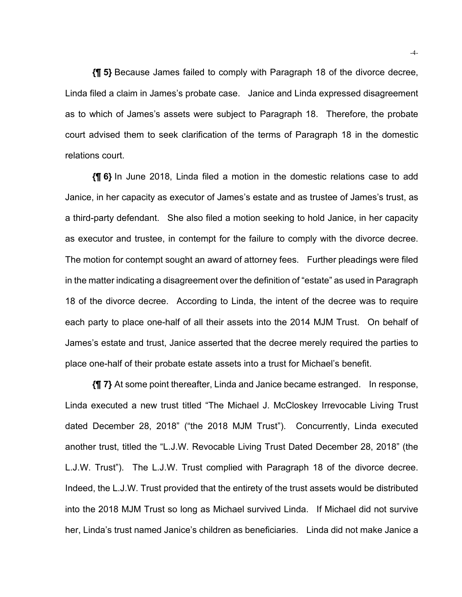**{¶ 5}** Because James failed to comply with Paragraph 18 of the divorce decree, Linda filed a claim in James's probate case. Janice and Linda expressed disagreement as to which of James's assets were subject to Paragraph 18. Therefore, the probate court advised them to seek clarification of the terms of Paragraph 18 in the domestic relations court.

**{¶ 6}** In June 2018, Linda filed a motion in the domestic relations case to add Janice, in her capacity as executor of James's estate and as trustee of James's trust, as a third-party defendant. She also filed a motion seeking to hold Janice, in her capacity as executor and trustee, in contempt for the failure to comply with the divorce decree. The motion for contempt sought an award of attorney fees. Further pleadings were filed in the matter indicating a disagreement over the definition of "estate" as used in Paragraph 18 of the divorce decree. According to Linda, the intent of the decree was to require each party to place one-half of all their assets into the 2014 MJM Trust. On behalf of James's estate and trust, Janice asserted that the decree merely required the parties to place one-half of their probate estate assets into a trust for Michael's benefit.

**{¶ 7}** At some point thereafter, Linda and Janice became estranged. In response, Linda executed a new trust titled "The Michael J. McCloskey Irrevocable Living Trust dated December 28, 2018" ("the 2018 MJM Trust"). Concurrently, Linda executed another trust, titled the "L.J.W. Revocable Living Trust Dated December 28, 2018" (the L.J.W. Trust"). The L.J.W. Trust complied with Paragraph 18 of the divorce decree. Indeed, the L.J.W. Trust provided that the entirety of the trust assets would be distributed into the 2018 MJM Trust so long as Michael survived Linda. If Michael did not survive her, Linda's trust named Janice's children as beneficiaries. Linda did not make Janice a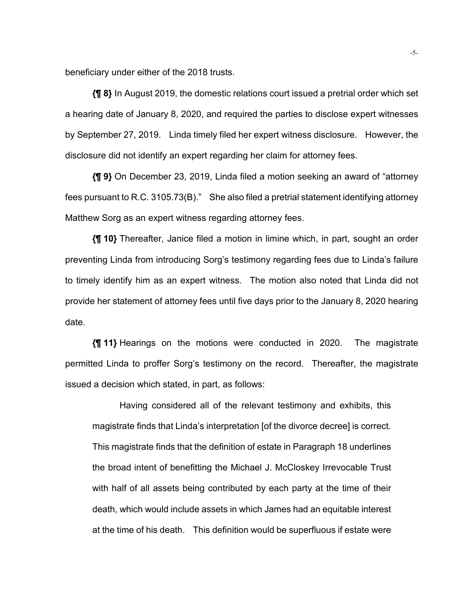beneficiary under either of the 2018 trusts.

**{¶ 8}** In August 2019, the domestic relations court issued a pretrial order which set a hearing date of January 8, 2020, and required the parties to disclose expert witnesses by September 27, 2019. Linda timely filed her expert witness disclosure. However, the disclosure did not identify an expert regarding her claim for attorney fees.

**{¶ 9}** On December 23, 2019, Linda filed a motion seeking an award of "attorney fees pursuant to R.C. 3105.73(B)." She also filed a pretrial statement identifying attorney Matthew Sorg as an expert witness regarding attorney fees.

**{¶ 10}** Thereafter, Janice filed a motion in limine which, in part, sought an order preventing Linda from introducing Sorg's testimony regarding fees due to Linda's failure to timely identify him as an expert witness. The motion also noted that Linda did not provide her statement of attorney fees until five days prior to the January 8, 2020 hearing date.

**{¶ 11}** Hearings on the motions were conducted in 2020. The magistrate permitted Linda to proffer Sorg's testimony on the record. Thereafter, the magistrate issued a decision which stated, in part, as follows:

Having considered all of the relevant testimony and exhibits, this magistrate finds that Linda's interpretation [of the divorce decree] is correct. This magistrate finds that the definition of estate in Paragraph 18 underlines the broad intent of benefitting the Michael J. McCloskey Irrevocable Trust with half of all assets being contributed by each party at the time of their death, which would include assets in which James had an equitable interest at the time of his death. This definition would be superfluous if estate were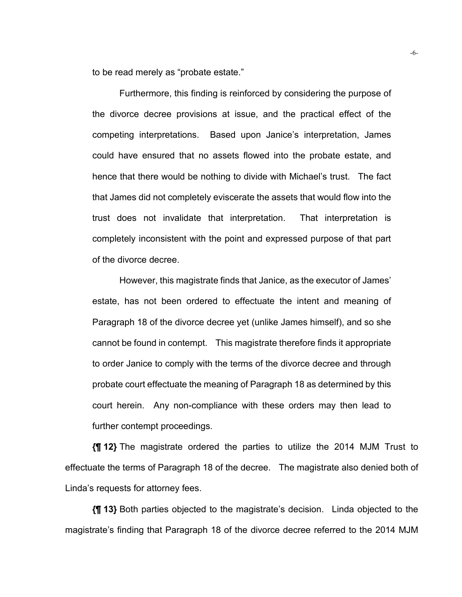to be read merely as "probate estate."

Furthermore, this finding is reinforced by considering the purpose of the divorce decree provisions at issue, and the practical effect of the competing interpretations. Based upon Janice's interpretation, James could have ensured that no assets flowed into the probate estate, and hence that there would be nothing to divide with Michael's trust. The fact that James did not completely eviscerate the assets that would flow into the trust does not invalidate that interpretation. That interpretation is completely inconsistent with the point and expressed purpose of that part of the divorce decree.

However, this magistrate finds that Janice, as the executor of James' estate, has not been ordered to effectuate the intent and meaning of Paragraph 18 of the divorce decree yet (unlike James himself), and so she cannot be found in contempt. This magistrate therefore finds it appropriate to order Janice to comply with the terms of the divorce decree and through probate court effectuate the meaning of Paragraph 18 as determined by this court herein. Any non-compliance with these orders may then lead to further contempt proceedings.

**{¶ 12}** The magistrate ordered the parties to utilize the 2014 MJM Trust to effectuate the terms of Paragraph 18 of the decree. The magistrate also denied both of Linda's requests for attorney fees.

**{¶ 13}** Both parties objected to the magistrate's decision. Linda objected to the magistrate's finding that Paragraph 18 of the divorce decree referred to the 2014 MJM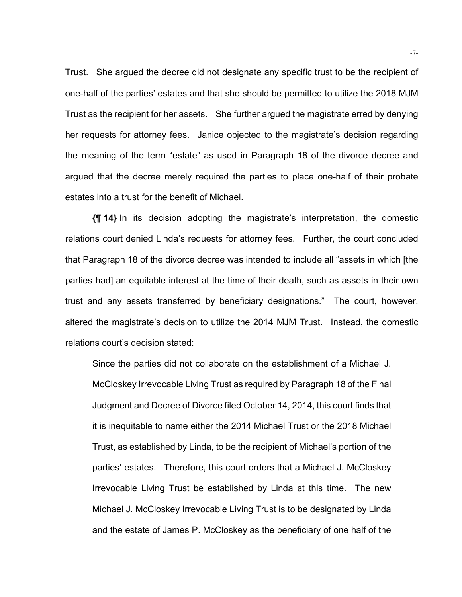Trust. She argued the decree did not designate any specific trust to be the recipient of one-half of the parties' estates and that she should be permitted to utilize the 2018 MJM Trust as the recipient for her assets. She further argued the magistrate erred by denying her requests for attorney fees. Janice objected to the magistrate's decision regarding the meaning of the term "estate" as used in Paragraph 18 of the divorce decree and argued that the decree merely required the parties to place one-half of their probate estates into a trust for the benefit of Michael.

**{¶ 14}** In its decision adopting the magistrate's interpretation, the domestic relations court denied Linda's requests for attorney fees. Further, the court concluded that Paragraph 18 of the divorce decree was intended to include all "assets in which [the parties had] an equitable interest at the time of their death, such as assets in their own trust and any assets transferred by beneficiary designations." The court, however, altered the magistrate's decision to utilize the 2014 MJM Trust. Instead, the domestic relations court's decision stated:

Since the parties did not collaborate on the establishment of a Michael J. McCloskey Irrevocable Living Trust as required by Paragraph 18 of the Final Judgment and Decree of Divorce filed October 14, 2014, this court finds that it is inequitable to name either the 2014 Michael Trust or the 2018 Michael Trust, as established by Linda, to be the recipient of Michael's portion of the parties' estates. Therefore, this court orders that a Michael J. McCloskey Irrevocable Living Trust be established by Linda at this time. The new Michael J. McCloskey Irrevocable Living Trust is to be designated by Linda and the estate of James P. McCloskey as the beneficiary of one half of the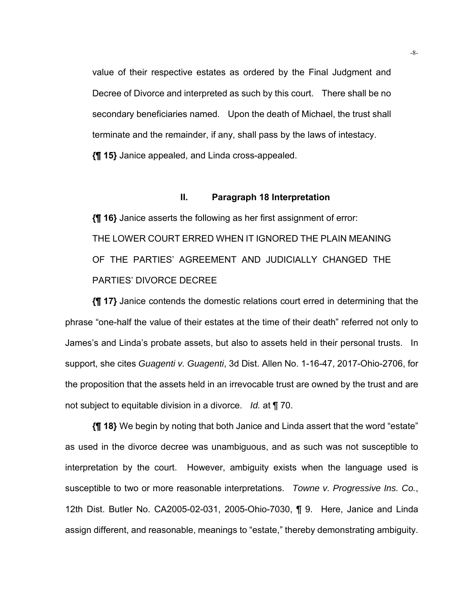value of their respective estates as ordered by the Final Judgment and Decree of Divorce and interpreted as such by this court. There shall be no secondary beneficiaries named. Upon the death of Michael, the trust shall terminate and the remainder, if any, shall pass by the laws of intestacy. **{¶ 15}** Janice appealed, and Linda cross-appealed.

### **II. Paragraph 18 Interpretation**

**{¶ 16}** Janice asserts the following as her first assignment of error: THE LOWER COURT ERRED WHEN IT IGNORED THE PLAIN MEANING OF THE PARTIES' AGREEMENT AND JUDICIALLY CHANGED THE PARTIES' DIVORCE DECREE

**{¶ 17}** Janice contends the domestic relations court erred in determining that the phrase "one-half the value of their estates at the time of their death" referred not only to James's and Linda's probate assets, but also to assets held in their personal trusts. In support, she cites *Guagenti v. Guagenti*, 3d Dist. Allen No. 1-16-47, 2017-Ohio-2706, for the proposition that the assets held in an irrevocable trust are owned by the trust and are not subject to equitable division in a divorce. *Id.* at ¶ 70.

**{¶ 18}** We begin by noting that both Janice and Linda assert that the word "estate" as used in the divorce decree was unambiguous, and as such was not susceptible to interpretation by the court. However, ambiguity exists when the language used is susceptible to two or more reasonable interpretations. *Towne v. Progressive Ins. Co.*, 12th Dist. Butler No. CA2005-02-031, 2005-Ohio-7030, ¶ 9. Here, Janice and Linda assign different, and reasonable, meanings to "estate," thereby demonstrating ambiguity.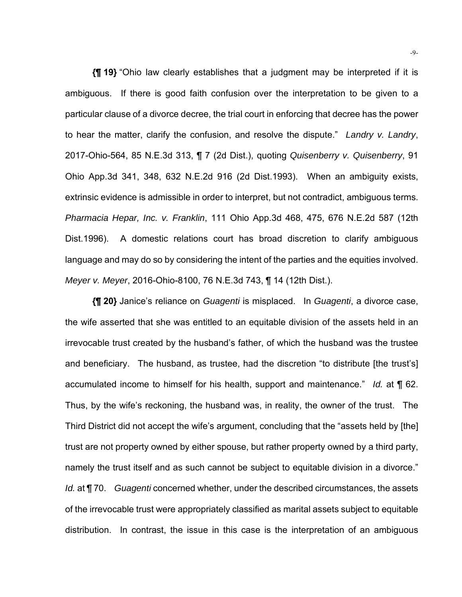**{¶ 19}** "Ohio law clearly establishes that a judgment may be interpreted if it is ambiguous. If there is good faith confusion over the interpretation to be given to a particular clause of a divorce decree, the trial court in enforcing that decree has the power to hear the matter, clarify the confusion, and resolve the dispute." *Landry v. Landry*, 2017-Ohio-564, 85 N.E.3d 313, ¶ 7 (2d Dist.), quoting *Quisenberry v. Quisenberry*, 91 Ohio App.3d 341, 348, 632 N.E.2d 916 (2d Dist.1993). When an ambiguity exists, extrinsic evidence is admissible in order to interpret, but not contradict, ambiguous terms. *Pharmacia Hepar, Inc. v. Franklin*, 111 Ohio App.3d 468, 475, 676 N.E.2d 587 (12th Dist.1996). A domestic relations court has broad discretion to clarify ambiguous language and may do so by considering the intent of the parties and the equities involved. *Meyer v. Meyer*, 2016-Ohio-8100, 76 N.E.3d 743, ¶ 14 (12th Dist.).

**{¶ 20}** Janice's reliance on *Guagenti* is misplaced. In *Guagenti*, a divorce case, the wife asserted that she was entitled to an equitable division of the assets held in an irrevocable trust created by the husband's father, of which the husband was the trustee and beneficiary. The husband, as trustee, had the discretion "to distribute [the trust's] accumulated income to himself for his health, support and maintenance." *Id.* at ¶ 62. Thus, by the wife's reckoning, the husband was, in reality, the owner of the trust. The Third District did not accept the wife's argument, concluding that the "assets held by [the] trust are not property owned by either spouse, but rather property owned by a third party, namely the trust itself and as such cannot be subject to equitable division in a divorce." *Id.* at ¶ 70. *Guagenti* concerned whether, under the described circumstances, the assets of the irrevocable trust were appropriately classified as marital assets subject to equitable distribution. In contrast, the issue in this case is the interpretation of an ambiguous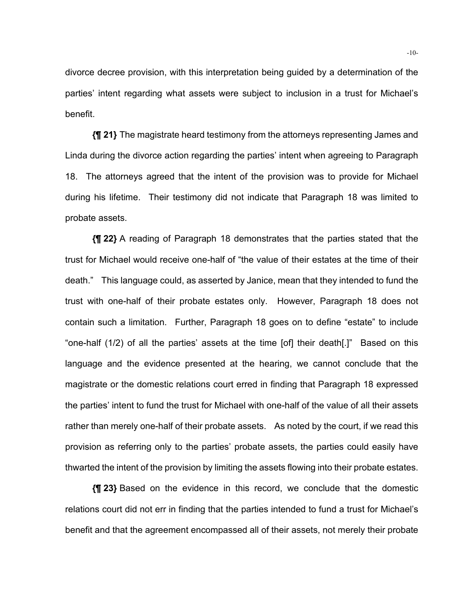divorce decree provision, with this interpretation being guided by a determination of the parties' intent regarding what assets were subject to inclusion in a trust for Michael's benefit.

**{¶ 21}** The magistrate heard testimony from the attorneys representing James and Linda during the divorce action regarding the parties' intent when agreeing to Paragraph 18. The attorneys agreed that the intent of the provision was to provide for Michael during his lifetime. Their testimony did not indicate that Paragraph 18 was limited to probate assets.

**{¶ 22}** A reading of Paragraph 18 demonstrates that the parties stated that the trust for Michael would receive one-half of "the value of their estates at the time of their death." This language could, as asserted by Janice, mean that they intended to fund the trust with one-half of their probate estates only. However, Paragraph 18 does not contain such a limitation. Further, Paragraph 18 goes on to define "estate" to include "one-half (1/2) of all the parties' assets at the time [of] their death[.]" Based on this language and the evidence presented at the hearing, we cannot conclude that the magistrate or the domestic relations court erred in finding that Paragraph 18 expressed the parties' intent to fund the trust for Michael with one-half of the value of all their assets rather than merely one-half of their probate assets. As noted by the court, if we read this provision as referring only to the parties' probate assets, the parties could easily have thwarted the intent of the provision by limiting the assets flowing into their probate estates.

**{¶ 23}** Based on the evidence in this record, we conclude that the domestic relations court did not err in finding that the parties intended to fund a trust for Michael's benefit and that the agreement encompassed all of their assets, not merely their probate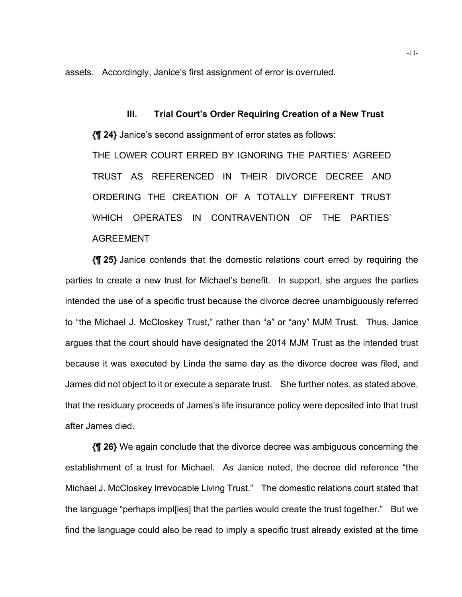assets. Accordingly, Janice's first assignment of error is overruled.

**III. Trial Court's Order Requiring Creation of a New Trust {¶ 24}** Janice's second assignment of error states as follows: THE LOWER COURT ERRED BY IGNORING THE PARTIES' AGREED TRUST AS REFERENCED IN THEIR DIVORCE DECREE AND ORDERING THE CREATION OF A TOTALLY DIFFERENT TRUST WHICH OPERATES IN CONTRAVENTION OF THE PARTIES' AGREEMENT

**{¶ 25}** Janice contends that the domestic relations court erred by requiring the parties to create a new trust for Michael's benefit. In support, she argues the parties intended the use of a specific trust because the divorce decree unambiguously referred to "the Michael J. McCloskey Trust," rather than "a" or "any" MJM Trust. Thus, Janice argues that the court should have designated the 2014 MJM Trust as the intended trust because it was executed by Linda the same day as the divorce decree was filed, and James did not object to it or execute a separate trust. She further notes, as stated above, that the residuary proceeds of James's life insurance policy were deposited into that trust after James died.

**{¶ 26}** We again conclude that the divorce decree was ambiguous concerning the establishment of a trust for Michael. As Janice noted, the decree did reference "the Michael J. McCloskey Irrevocable Living Trust." The domestic relations court stated that the language "perhaps impl[ies] that the parties would create the trust together." But we find the language could also be read to imply a specific trust already existed at the time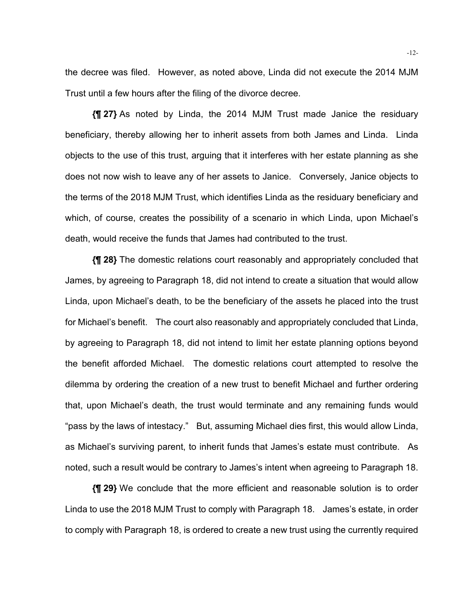the decree was filed. However, as noted above, Linda did not execute the 2014 MJM Trust until a few hours after the filing of the divorce decree.

**{¶ 27}** As noted by Linda, the 2014 MJM Trust made Janice the residuary beneficiary, thereby allowing her to inherit assets from both James and Linda. Linda objects to the use of this trust, arguing that it interferes with her estate planning as she does not now wish to leave any of her assets to Janice. Conversely, Janice objects to the terms of the 2018 MJM Trust, which identifies Linda as the residuary beneficiary and which, of course, creates the possibility of a scenario in which Linda, upon Michael's death, would receive the funds that James had contributed to the trust.

**{¶ 28}** The domestic relations court reasonably and appropriately concluded that James, by agreeing to Paragraph 18, did not intend to create a situation that would allow Linda, upon Michael's death, to be the beneficiary of the assets he placed into the trust for Michael's benefit. The court also reasonably and appropriately concluded that Linda, by agreeing to Paragraph 18, did not intend to limit her estate planning options beyond the benefit afforded Michael. The domestic relations court attempted to resolve the dilemma by ordering the creation of a new trust to benefit Michael and further ordering that, upon Michael's death, the trust would terminate and any remaining funds would "pass by the laws of intestacy." But, assuming Michael dies first, this would allow Linda, as Michael's surviving parent, to inherit funds that James's estate must contribute. As noted, such a result would be contrary to James's intent when agreeing to Paragraph 18.

**{¶ 29}** We conclude that the more efficient and reasonable solution is to order Linda to use the 2018 MJM Trust to comply with Paragraph 18. James's estate, in order to comply with Paragraph 18, is ordered to create a new trust using the currently required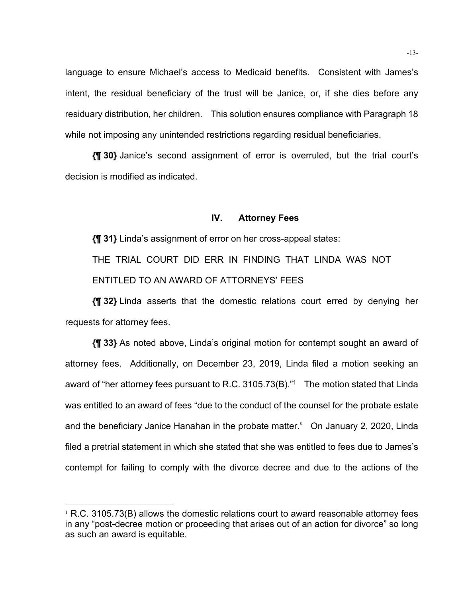language to ensure Michael's access to Medicaid benefits. Consistent with James's intent, the residual beneficiary of the trust will be Janice, or, if she dies before any residuary distribution, her children. This solution ensures compliance with Paragraph 18 while not imposing any unintended restrictions regarding residual beneficiaries.

**{¶ 30}** Janice's second assignment of error is overruled, but the trial court's decision is modified as indicated.

#### **IV. Attorney Fees**

**{¶ 31}** Linda's assignment of error on her cross-appeal states:

THE TRIAL COURT DID ERR IN FINDING THAT LINDA WAS NOT ENTITLED TO AN AWARD OF ATTORNEYS' FEES

**{¶ 32}** Linda asserts that the domestic relations court erred by denying her requests for attorney fees.

**{¶ 33}** As noted above, Linda's original motion for contempt sought an award of attorney fees. Additionally, on December 23, 2019, Linda filed a motion seeking an award of "her attorney fees pursuant to R.C. 3105.73(B)."1 The motion stated that Linda was entitled to an award of fees "due to the conduct of the counsel for the probate estate and the beneficiary Janice Hanahan in the probate matter." On January 2, 2020, Linda filed a pretrial statement in which she stated that she was entitled to fees due to James's contempt for failing to comply with the divorce decree and due to the actions of the

 $1$  R.C. 3105.73(B) allows the domestic relations court to award reasonable attorney fees in any "post-decree motion or proceeding that arises out of an action for divorce" so long as such an award is equitable.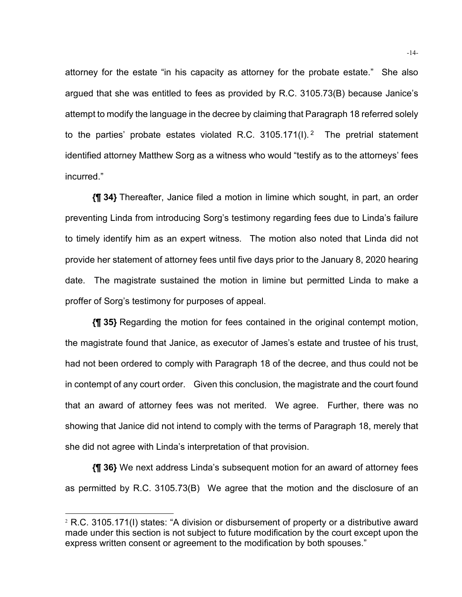attorney for the estate "in his capacity as attorney for the probate estate." She also argued that she was entitled to fees as provided by R.C. 3105.73(B) because Janice's attempt to modify the language in the decree by claiming that Paragraph 18 referred solely to the parties' probate estates violated R.C.  $3105.171(1)$ . <sup>2</sup> The pretrial statement identified attorney Matthew Sorg as a witness who would "testify as to the attorneys' fees incurred."

**{¶ 34}** Thereafter, Janice filed a motion in limine which sought, in part, an order preventing Linda from introducing Sorg's testimony regarding fees due to Linda's failure to timely identify him as an expert witness. The motion also noted that Linda did not provide her statement of attorney fees until five days prior to the January 8, 2020 hearing date. The magistrate sustained the motion in limine but permitted Linda to make a proffer of Sorg's testimony for purposes of appeal.

**{¶ 35}** Regarding the motion for fees contained in the original contempt motion, the magistrate found that Janice, as executor of James's estate and trustee of his trust, had not been ordered to comply with Paragraph 18 of the decree, and thus could not be in contempt of any court order. Given this conclusion, the magistrate and the court found that an award of attorney fees was not merited. We agree. Further, there was no showing that Janice did not intend to comply with the terms of Paragraph 18, merely that she did not agree with Linda's interpretation of that provision.

**{¶ 36}** We next address Linda's subsequent motion for an award of attorney fees as permitted by R.C. 3105.73(B) We agree that the motion and the disclosure of an

<sup>2</sup> R.C. 3105.171(I) states: "A division or disbursement of property or a distributive award made under this section is not subject to future modification by the court except upon the express written consent or agreement to the modification by both spouses."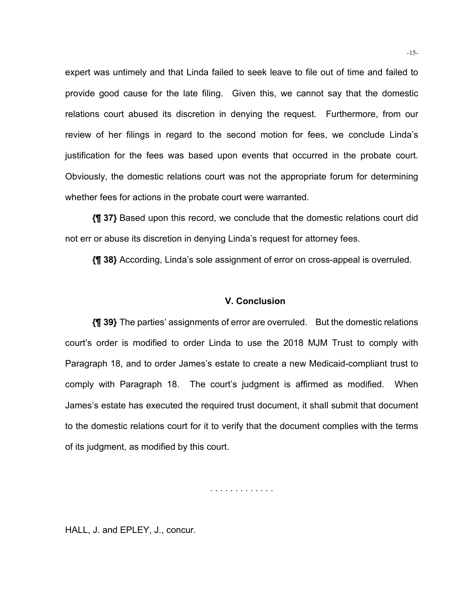expert was untimely and that Linda failed to seek leave to file out of time and failed to provide good cause for the late filing. Given this, we cannot say that the domestic relations court abused its discretion in denying the request. Furthermore, from our review of her filings in regard to the second motion for fees, we conclude Linda's justification for the fees was based upon events that occurred in the probate court. Obviously, the domestic relations court was not the appropriate forum for determining whether fees for actions in the probate court were warranted.

**{¶ 37}** Based upon this record, we conclude that the domestic relations court did not err or abuse its discretion in denying Linda's request for attorney fees.

**{¶ 38}** According, Linda's sole assignment of error on cross-appeal is overruled.

### **V. Conclusion**

**{¶ 39}** The parties' assignments of error are overruled. But the domestic relations court's order is modified to order Linda to use the 2018 MJM Trust to comply with Paragraph 18, and to order James's estate to create a new Medicaid-compliant trust to comply with Paragraph 18. The court's judgment is affirmed as modified. When James's estate has executed the required trust document, it shall submit that document to the domestic relations court for it to verify that the document complies with the terms of its judgment, as modified by this court.

. . . . . . . . . . . . .

HALL, J. and EPLEY, J., concur.